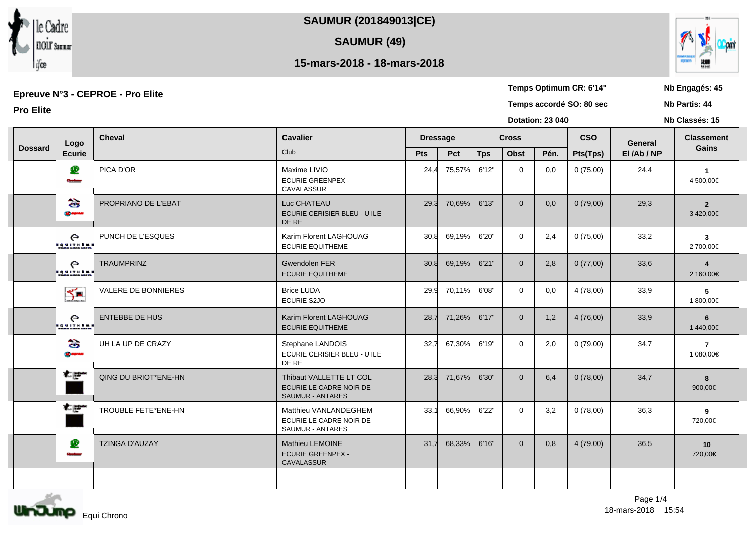**SAUMUR (201849013|CE)**

**SAUMUR (49)**

## **15-mars-2018 - 18-mars-2018**

Epreuve №3 - CEPROE - Pro Elite<br>
Epreuve №3 - CEPROE - Pro Elite<br>
Nb Partis: 44

**Pro Elite Temps accordé SO: 80 sec**

|                |                                              |                       |                                                                         |                 |        | <b>Dotation: 23 040</b> |                |      |            | Nb Classés: 15 |                             |  |
|----------------|----------------------------------------------|-----------------------|-------------------------------------------------------------------------|-----------------|--------|-------------------------|----------------|------|------------|----------------|-----------------------------|--|
|                | Logo                                         | <b>Cheval</b>         | <b>Cavalier</b><br>Club                                                 | <b>Dressage</b> |        | <b>Cross</b>            |                |      | <b>CSO</b> | General        | <b>Classement</b>           |  |
| <b>Dossard</b> | <b>Ecurie</b>                                |                       |                                                                         | Pts             | Pct    | <b>Tps</b>              | Obst           | Pén. | Pts(Tps)   | El/Ab/NP       | Gains                       |  |
|                | £<br>سنست                                    | PICA D'OR             | Maxime LIVIO<br><b>ECURIE GREENPEX -</b><br><b>CAVALASSUR</b>           | 24,4            | 75,57% | 6'12"                   | $\mathbf 0$    | 0,0  | 0(75,00)   | 24,4           | $\overline{1}$<br>4 500,00€ |  |
|                | के<br><b>SE MANA</b>                         | PROPRIANO DE L'EBAT   | Luc CHATEAU<br>ECURIE CERISIER BLEU - U ILE<br>DE RE                    | 29,3            | 70,69% | 6'13"                   | $\mathbf{0}$   | 0,0  | 0(79,00)   | 29,3           | $\overline{2}$<br>3420,00€  |  |
|                | $\epsilon$<br><b><i><u>EQUITABLE</u></i></b> | PUNCH DE L'ESQUES     | Karim Florent LAGHOUAG<br><b>ECURIE EQUITHEME</b>                       | 30.8            | 69,19% | 6'20"                   | $\mathbf{0}$   | 2,4  | 0(75,00)   | 33,2           | $\mathbf{3}$<br>2 700,00€   |  |
|                | $\epsilon$<br><b><i><u>BRUTHER</u></i></b>   | <b>TRAUMPRINZ</b>     | <b>Gwendolen FER</b><br><b>ECURIE EQUITHEME</b>                         | 30,8            | 69,19% | 6'21"                   | $\overline{0}$ | 2,8  | 0(77,00)   | 33,6           | 4<br>2 160,00€              |  |
|                | 5-                                           | VALERE DE BONNIERES   | <b>Brice LUDA</b><br>ECURIE S2JO                                        | 29,9            | 70,11% | 6'08"                   | $\mathbf{0}$   | 0,0  | 4 (78,00)  | 33,9           | 5<br>1 800,00€              |  |
|                | $\epsilon$<br><b>EQUITABLE</b>               | <b>ENTEBBE DE HUS</b> | Karim Florent LAGHOUAG<br><b>ECURIE EQUITHEME</b>                       | 28,7            | 71,26% | 6'17"                   | $\mathbf{0}$   | 1,2  | 4(76,00)   | 33,9           | 6<br>1440,00€               |  |
|                | के<br><b>SE express</b>                      | UH LA UP DE CRAZY     | Stephane LANDOIS<br>ECURIE CERISIER BLEU - U ILE<br>DE RE               | 32,7            | 67,30% | 6'19"                   | $\mathbf 0$    | 2,0  | 0(79,00)   | 34,7           | $\overline{7}$<br>1 080,00€ |  |
|                | حتياته                                       | QING DU BRIOT*ENE-HN  | Thibaut VALLETTE LT COL<br>ECURIE LE CADRE NOIR DE<br>SAUMUR - ANTARES  | 28,3            | 71,67% | 6'30"                   | $\overline{0}$ | 6,4  | 0(78,00)   | 34,7           | 8<br>900,00€                |  |
|                | سطاعه                                        | TROUBLE FETE*ENE-HN   | Matthieu VANLANDEGHEM<br>ECURIE LE CADRE NOIR DE<br>SAUMUR - ANTARES    | 33,1            | 66,90% | 6'22"                   | $\mathbf{0}$   | 3,2  | 0(78,00)   | 36,3           | 9<br>720,00€                |  |
|                | ₽<br>سنست                                    | <b>TZINGA D'AUZAY</b> | <b>Mathieu LEMOINE</b><br><b>ECURIE GREENPEX -</b><br><b>CAVALASSUR</b> | 31,7            | 68,33% | 6'16"                   | $\overline{0}$ | 0,8  | 4(79,00)   | 36,5           | 10<br>720,00€               |  |
|                |                                              |                       |                                                                         |                 |        |                         |                |      |            |                |                             |  |





**Nb Partis: 44**

**Temps Optimum CR: 6'14"**

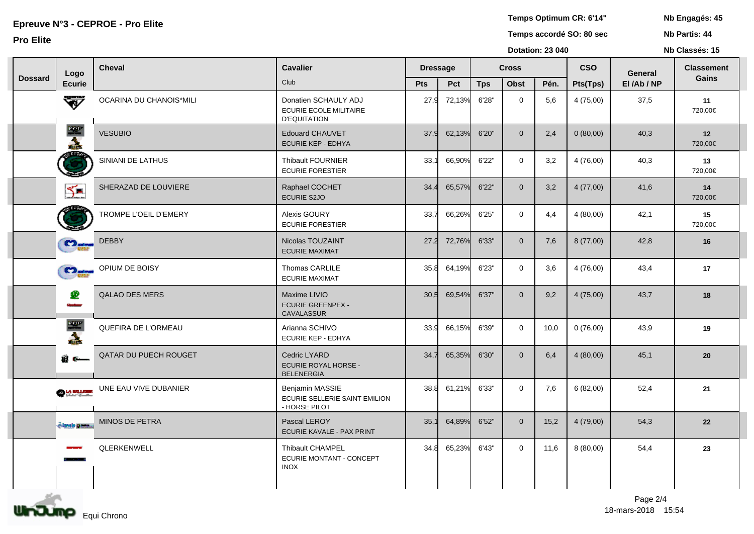**Temps Optimum CR: 6'14"**

Epreuve №3 - CEPROE - Pro Elite<br>
Epreuve №3 - CEPROE - Pro Elite<br>
Nb Partis: 44 **Nb Partis: 44 Pro Elite Temps accordé SO: 80 sec**

**Dotation: 23 040**

**Nb Classés: 15** 

|                |                            |                              |                                                                              |            |                 |              |                | <b>DOMINII.</b> LO VTV |            | <b>ITH AND AND ALL</b> |                   |
|----------------|----------------------------|------------------------------|------------------------------------------------------------------------------|------------|-----------------|--------------|----------------|------------------------|------------|------------------------|-------------------|
|                | Logo                       | <b>Cheval</b>                | <b>Cavalier</b>                                                              |            | <b>Dressage</b> | <b>Cross</b> |                |                        | <b>CSO</b> | General                | <b>Classement</b> |
| <b>Dossard</b> | <b>Ecurie</b>              |                              | Club                                                                         | <b>Pts</b> | Pct             | <b>Tps</b>   | <b>Obst</b>    | Pén.                   | Pts(Tps)   | El/Ab/NP               | Gains             |
|                | ₩                          | OCARINA DU CHANOIS*MILI      | Donatien SCHAULY ADJ<br><b>ECURIE ECOLE MILITAIRE</b><br><b>D'EQUITATION</b> | 27,9       | 72,13%          | 6'28"        | $\Omega$       | 5,6                    | 4(75,00)   | 37,5                   | 11<br>720,00€     |
|                | 一支                         | <b>VESUBIO</b>               | <b>Edouard CHAUVET</b><br>ECURIE KEP - EDHYA                                 | 37,9       | 62,13%          | 6'20"        | $\overline{0}$ | 2,4                    | 0(80,00)   | 40,3                   | 12<br>720,00€     |
|                | <b>STATION</b>             | SINIANI DE LATHUS            | <b>Thibault FOURNIER</b><br><b>ECURIE FORESTIER</b>                          | 33,7       | 66,90%          | 6'22"        | $\overline{0}$ | 3,2                    | 4(76,00)   | 40,3                   | 13<br>720,00€     |
|                | $\sum$                     | SHERAZAD DE LOUVIERE         | Raphael COCHET<br><b>ECURIE S2JO</b>                                         | 34.4       | 65,57%          | 6'22"        | $\overline{0}$ | 3,2                    | 4(77,00)   | 41,6                   | 14<br>720,00€     |
|                |                            | <b>TROMPE L'OEIL D'EMERY</b> | Alexis GOURY<br><b>ECURIE FORESTIER</b>                                      | 33,7       | 66,26%          | 6'25"        | $\mathbf{0}$   | 4,4                    | 4(80,00)   | 42,1                   | 15<br>720,00€     |
|                | <b>C</b> 2 <sub>pdm</sub>  | <b>DEBBY</b>                 | Nicolas TOUZAINT<br><b>ECURIE MAXIMAT</b>                                    | 27,2       | 72,76%          | 6'33"        | $\overline{0}$ | 7,6                    | 8(77,00)   | 42,8                   | 16                |
|                | <b>C</b> D <sub>minm</sub> | OPIUM DE BOISY               | Thomas CARLILE<br><b>ECURIE MAXIMAT</b>                                      | 35,8       | 64,19%          | 6'23"        | $\overline{0}$ | 3,6                    | 4(76,00)   | 43,4                   | 17                |
|                | ₽                          | <b>QALAO DES MERS</b>        | Maxime LIVIO<br><b>ECURIE GREENPEX -</b><br><b>CAVALASSUR</b>                | 30,5       | 69,54%          | 6'37"        | $\mathbf 0$    | 9,2                    | 4(75,00)   | 43,7                   | 18                |
|                |                            | QUEFIRA DE L'ORMEAU          | Arianna SCHIVO<br><b>ECURIE KEP - EDHYA</b>                                  | 33,9       | 66,15%          | 6'39"        | $\overline{0}$ | 10,0                   | 0(76,00)   | 43,9                   | 19                |
|                | 8 C—                       | <b>QATAR DU PUECH ROUGET</b> | Cedric LYARD<br><b>ECURIE ROYAL HORSE -</b><br><b>BELENERGIA</b>             | 34,7       | 65,35%          | 6'30"        | $\overline{0}$ | 6,4                    | 4(80,00)   | 45,1                   | $20\,$            |
|                | <b>OLA MALLER</b>          | UNE EAU VIVE DUBANIER        | Benjamin MASSIE<br>ECURIE SELLERIE SAINT EMILION<br>- HORSE PILOT            | 38,8       | 61,21%          | 6'33"        | $\Omega$       | 7,6                    | 6(82,00)   | 52,4                   | 21                |
|                | <b>Alamb Ballis</b>        | <b>MINOS DE PETRA</b>        | Pascal LEROY<br>ECURIE KAVALE - PAX PRINT                                    | 35.        | 64,89%          | 6'52"        | $\overline{0}$ | 15,2                   | 4(79,00)   | 54,3                   | 22                |
|                |                            | QLERKENWELL                  | <b>Thibault CHAMPEL</b><br>ECURIE MONTANT - CONCEPT<br><b>INOX</b>           | 34,8       | 65,23%          | 6'43"        | $\overline{0}$ | 11,6                   | 8(80,00)   | 54,4                   | 23                |
|                |                            |                              |                                                                              |            |                 |              |                |                        |            |                        |                   |

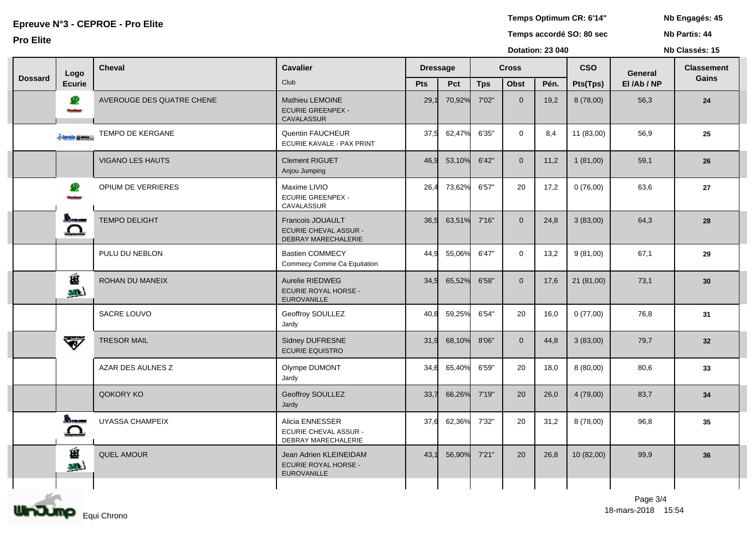**Temps Optimum CR: 6'14"**

Epreuve №3 - CEPROE - Pro Elite<br>
Epreuve №3 - CEPROE - Pro Elite<br>
Nb Partis: 44 **Nb Partis: 44 Pro Elite Temps accordé SO: 80 sec**

**Dotation: 23 040**

**Nb Classés: 15** 

|                | Logo                | <b>Cheval</b>             | <b>Cavalier</b>                                                             | <b>Dressage</b> |        | <b>Cross</b> |                |      | <b>CSO</b> | <b>General</b> | <b>Classement</b> |
|----------------|---------------------|---------------------------|-----------------------------------------------------------------------------|-----------------|--------|--------------|----------------|------|------------|----------------|-------------------|
| <b>Dossard</b> | <b>Ecurie</b>       |                           | Club                                                                        | Pts             | Pct    | <b>Tps</b>   | Obst           | Pén. | Pts(Tps)   | El/Ab/NP       | Gains             |
|                | £<br>سنده           | AVEROUGE DES QUATRE CHENE | Mathieu LEMOINE<br><b>ECURIE GREENPEX -</b><br>CAVALASSUR                   | 29.7            | 70,92% | 7'02"        | $\overline{0}$ | 19,2 | 8 (78,00)  | 56,3           | 24                |
|                | change passed       | <b>TEMPO DE KERGANE</b>   | Quentin FAUCHEUR<br>ECURIE KAVALE - PAX PRINT                               | 37,5            | 62,47% | 6'35"        | $\mathbf{0}$   | 8,4  | 11 (83,00) | 56,9           | 25                |
|                |                     | <b>VIGANO LES HAUTS</b>   | <b>Clement RIGUET</b><br>Anjou Jumping                                      | 46,9            | 53,10% | 6'42"        | $\overline{0}$ | 11,2 | 1(81,00)   | 59,1           | 26                |
|                | æ                   | OPIUM DE VERRIERES        | Maxime LIVIO<br><b>ECURIE GREENPEX -</b><br>CAVALASSUR                      | 26,4            | 73,62% | 6'57"        | 20             | 17,2 | 0(76,00)   | 63,6           | ${\bf 27}$        |
|                | <b>Record</b><br>≏  | <b>TEMPO DELIGHT</b>      | Francois JOUAULT<br><b>ECURIE CHEVAL ASSUR -</b><br>DEBRAY MARECHALERIE     | 36,5            | 63,51% | 7'16"        | $\overline{0}$ | 24,8 | 3(83,00)   | 64,3           | 28                |
|                |                     | PULU DU NEBLON            | <b>Bastien COMMECY</b><br>Commecy Comme Ca Equitation                       | 44.9            | 55,06% | 6'47"        | $\mathbf 0$    | 13,2 | 9(81,00)   | 67,1           | 29                |
|                | Ĥ<br>فتلكله         | ROHAN DU MANEIX           | Aurelie RIEDWEG<br><b>ECURIE ROYAL HORSE -</b><br>EUROVANILLE               | 34,5            | 65,52% | 6'58"        | $\overline{0}$ | 17,6 | 21 (81,00) | 73,1           | 30                |
|                |                     | SACRE LOUVO               | Geoffroy SOULLEZ<br>Jardy                                                   | 40,8            | 59,25% | 6'54"        | 20             | 16,0 | 0(77,00)   | 76,8           | 31                |
|                | ₩                   | <b>TRESOR MAIL</b>        | Sidney DUFRESNE<br><b>ECURIE EQUISTRO</b>                                   | 31,9            | 68,10% | 8'06"        | $\overline{0}$ | 44,8 | 3(83,00)   | 79,7           | 32                |
|                |                     | AZAR DES AULNES Z         | Olympe DUMONT<br>Jardy                                                      | 34.6            | 65,40% | 6'59"        | 20             | 18,0 | 8 (80,00)  | 80,6           | 33                |
|                |                     | QOKORY KO                 | Geoffroy SOULLEZ<br>Jardy                                                   | 33,7            | 66,26% | 7'19"        | 20             | 26,0 | 4 (79,00)  | 83,7           | 34                |
|                | <b>Bearing</b><br>≏ | UYASSA CHAMPEIX           | Alicia ENNESSER<br><b>ECURIE CHEVAL ASSUR -</b><br>DEBRAY MARECHALERIE      | 37,6            | 62,36% | 7'32"        | 20             | 31,2 | 8 (78,00)  | 96,8           | 35                |
|                | É<br>$\mathbf{m}$   | <b>QUEL AMOUR</b>         | Jean Adrien KLEINEIDAM<br><b>ECURIE ROYAL HORSE -</b><br><b>EUROVANILLE</b> | 43.             | 56,90% | 7'21"        | 20             | 26,8 | 10 (82,00) | 99,9           | 36                |
|                |                     |                           |                                                                             |                 |        |              |                |      |            |                |                   |